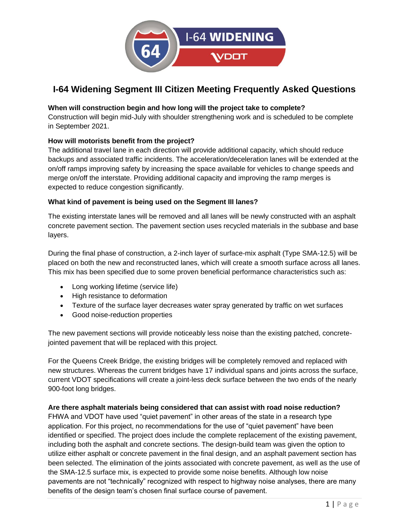

### **When will construction begin and how long will the project take to complete?**

Construction will begin mid-July with shoulder strengthening work and is scheduled to be complete in September 2021.

### **How will motorists benefit from the project?**

The additional travel lane in each direction will provide additional capacity, which should reduce backups and associated traffic incidents. The acceleration/deceleration lanes will be extended at the on/off ramps improving safety by increasing the space available for vehicles to change speeds and merge on/off the interstate. Providing additional capacity and improving the ramp merges is expected to reduce congestion significantly.

#### **What kind of pavement is being used on the Segment III lanes?**

The existing interstate lanes will be removed and all lanes will be newly constructed with an asphalt concrete pavement section. The pavement section uses recycled materials in the subbase and base layers.

During the final phase of construction, a 2-inch layer of surface-mix asphalt (Type SMA-12.5) will be placed on both the new and reconstructed lanes, which will create a smooth surface across all lanes. This mix has been specified due to some proven beneficial performance characteristics such as:

- Long working lifetime (service life)
- High resistance to deformation
- Texture of the surface layer decreases water spray generated by traffic on wet surfaces
- Good noise-reduction properties

The new pavement sections will provide noticeably less noise than the existing patched, concretejointed pavement that will be replaced with this project.

For the Queens Creek Bridge, the existing bridges will be completely removed and replaced with new structures. Whereas the current bridges have 17 individual spans and joints across the surface, current VDOT specifications will create a joint-less deck surface between the two ends of the nearly 900-foot long bridges.

#### **Are there asphalt materials being considered that can assist with road noise reduction?**

FHWA and VDOT have used "quiet pavement" in other areas of the state in a research type application. For this project, no recommendations for the use of "quiet pavement" have been identified or specified. The project does include the complete replacement of the existing pavement, including both the asphalt and concrete sections. The design-build team was given the option to utilize either asphalt or concrete pavement in the final design, and an asphalt pavement section has been selected. The elimination of the joints associated with concrete pavement, as well as the use of the SMA-12.5 surface mix, is expected to provide some noise benefits. Although low noise pavements are not "technically" recognized with respect to highway noise analyses, there are many benefits of the design team's chosen final surface course of pavement.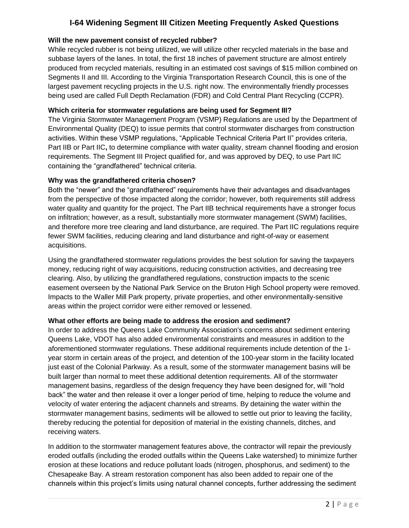#### **Will the new pavement consist of recycled rubber?**

While recycled rubber is not being utilized, we will utilize other recycled materials in the base and subbase layers of the lanes. In total, the first 18 inches of pavement structure are almost entirely produced from recycled materials, resulting in an estimated cost savings of \$15 million combined on Segments II and III. According to the Virginia Transportation Research Council, this is one of the largest pavement recycling projects in the U.S. right now. The environmentally friendly processes being used are called Full Depth Reclamation (FDR) and Cold Central Plant Recycling (CCPR).

#### **Which criteria for stormwater regulations are being used for Segment III?**

The Virginia Stormwater Management Program (VSMP) Regulations are used by the Department of Environmental Quality (DEQ) to issue permits that control stormwater discharges from construction activities. Within these VSMP regulations, "Applicable Technical Criteria Part II" provides criteria, Part IIB or Part IIC**,** to determine compliance with water quality, stream channel flooding and erosion requirements. The Segment III Project qualified for, and was approved by DEQ, to use Part IIC containing the "grandfathered" technical criteria.

#### **Why was the grandfathered criteria chosen?**

Both the "newer" and the "grandfathered" requirements have their advantages and disadvantages from the perspective of those impacted along the corridor; however, both requirements still address water quality and quantity for the project. The Part IIB technical requirements have a stronger focus on infiltration; however, as a result, substantially more stormwater management (SWM) facilities, and therefore more tree clearing and land disturbance, are required. The Part IIC regulations require fewer SWM facilities, reducing clearing and land disturbance and right-of-way or easement acquisitions.

Using the grandfathered stormwater regulations provides the best solution for saving the taxpayers money, reducing right of way acquisitions, reducing construction activities, and decreasing tree clearing. Also, by utilizing the grandfathered regulations, construction impacts to the scenic easement overseen by the National Park Service on the Bruton High School property were removed. Impacts to the Waller Mill Park property, private properties, and other environmentally-sensitive areas within the project corridor were either removed or lessened.

#### **What other efforts are being made to address the erosion and sediment?**

In order to address the Queens Lake Community Association's concerns about sediment entering Queens Lake, VDOT has also added environmental constraints and measures in addition to the aforementioned stormwater regulations. These additional requirements include detention of the 1 year storm in certain areas of the project, and detention of the 100-year storm in the facility located just east of the Colonial Parkway. As a result, some of the stormwater management basins will be built larger than normal to meet these additional detention requirements. All of the stormwater management basins, regardless of the design frequency they have been designed for, will "hold back" the water and then release it over a longer period of time, helping to reduce the volume and velocity of water entering the adjacent channels and streams. By detaining the water within the stormwater management basins, sediments will be allowed to settle out prior to leaving the facility, thereby reducing the potential for deposition of material in the existing channels, ditches, and receiving waters.

In addition to the stormwater management features above, the contractor will repair the previously eroded outfalls (including the eroded outfalls within the Queens Lake watershed) to minimize further erosion at these locations and reduce pollutant loads (nitrogen, phosphorus, and sediment) to the Chesapeake Bay. A stream restoration component has also been added to repair one of the channels within this project's limits using natural channel concepts, further addressing the sediment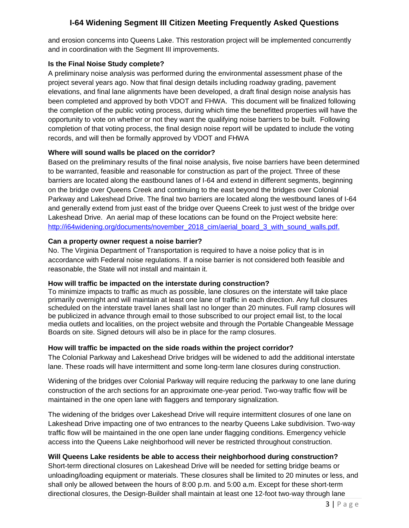and erosion concerns into Queens Lake. This restoration project will be implemented concurrently and in coordination with the Segment III improvements.

#### **Is the Final Noise Study complete?**

A preliminary noise analysis was performed during the environmental assessment phase of the project several years ago. Now that final design details including roadway grading, pavement elevations, and final lane alignments have been developed, a draft final design noise analysis has been completed and approved by both VDOT and FHWA. This document will be finalized following the completion of the public voting process, during which time the benefitted properties will have the opportunity to vote on whether or not they want the qualifying noise barriers to be built. Following completion of that voting process, the final design noise report will be updated to include the voting records, and will then be formally approved by VDOT and FHWA

#### **Where will sound walls be placed on the corridor?**

Based on the preliminary results of the final noise analysis, five noise barriers have been determined to be warranted, feasible and reasonable for construction as part of the project. Three of these barriers are located along the eastbound lanes of I-64 and extend in different segments, beginning on the bridge over Queens Creek and continuing to the east beyond the bridges over Colonial Parkway and Lakeshead Drive. The final two barriers are located along the westbound lanes of I-64 and generally extend from just east of the bridge over Queens Creek to just west of the bridge over Lakeshead Drive. An aerial map of these locations can be found on the Project website here: [http://i64widening.org/documents/november\\_2018\\_cim/aerial\\_board\\_3\\_with\\_sound\\_walls.pdf.](http://i64widening.org/documents/november_2018_cim/aerial_board_3_with_sound_walls.pdf)

#### **Can a property owner request a noise barrier?**

No. The Virginia Department of Transportation is required to have a noise policy that is in accordance with Federal noise regulations. If a noise barrier is not considered both feasible and reasonable, the State will not install and maintain it.

#### **How will traffic be impacted on the interstate during construction?**

To minimize impacts to traffic as much as possible, lane closures on the interstate will take place primarily overnight and will maintain at least one lane of traffic in each direction. Any full closures scheduled on the interstate travel lanes shall last no longer than 20 minutes. Full ramp closures will be publicized in advance through email to those subscribed to our project email list, to the local media outlets and localities, on the project website and through the Portable Changeable Message Boards on site. Signed detours will also be in place for the ramp closures.

#### **How will traffic be impacted on the side roads within the project corridor?**

The Colonial Parkway and Lakeshead Drive bridges will be widened to add the additional interstate lane. These roads will have intermittent and some long-term lane closures during construction.

Widening of the bridges over Colonial Parkway will require reducing the parkway to one lane during construction of the arch sections for an approximate one-year period. Two-way traffic flow will be maintained in the one open lane with flaggers and temporary signalization.

The widening of the bridges over Lakeshead Drive will require intermittent closures of one lane on Lakeshead Drive impacting one of two entrances to the nearby Queens Lake subdivision. Two-way traffic flow will be maintained in the one open lane under flagging conditions. Emergency vehicle access into the Queens Lake neighborhood will never be restricted throughout construction.

#### **Will Queens Lake residents be able to access their neighborhood during construction?**

Short-term directional closures on Lakeshead Drive will be needed for setting bridge beams or unloading/loading equipment or materials. These closures shall be limited to 20 minutes or less, and shall only be allowed between the hours of 8:00 p.m. and 5:00 a.m. Except for these short-term directional closures, the Design-Builder shall maintain at least one 12-foot two-way through lane